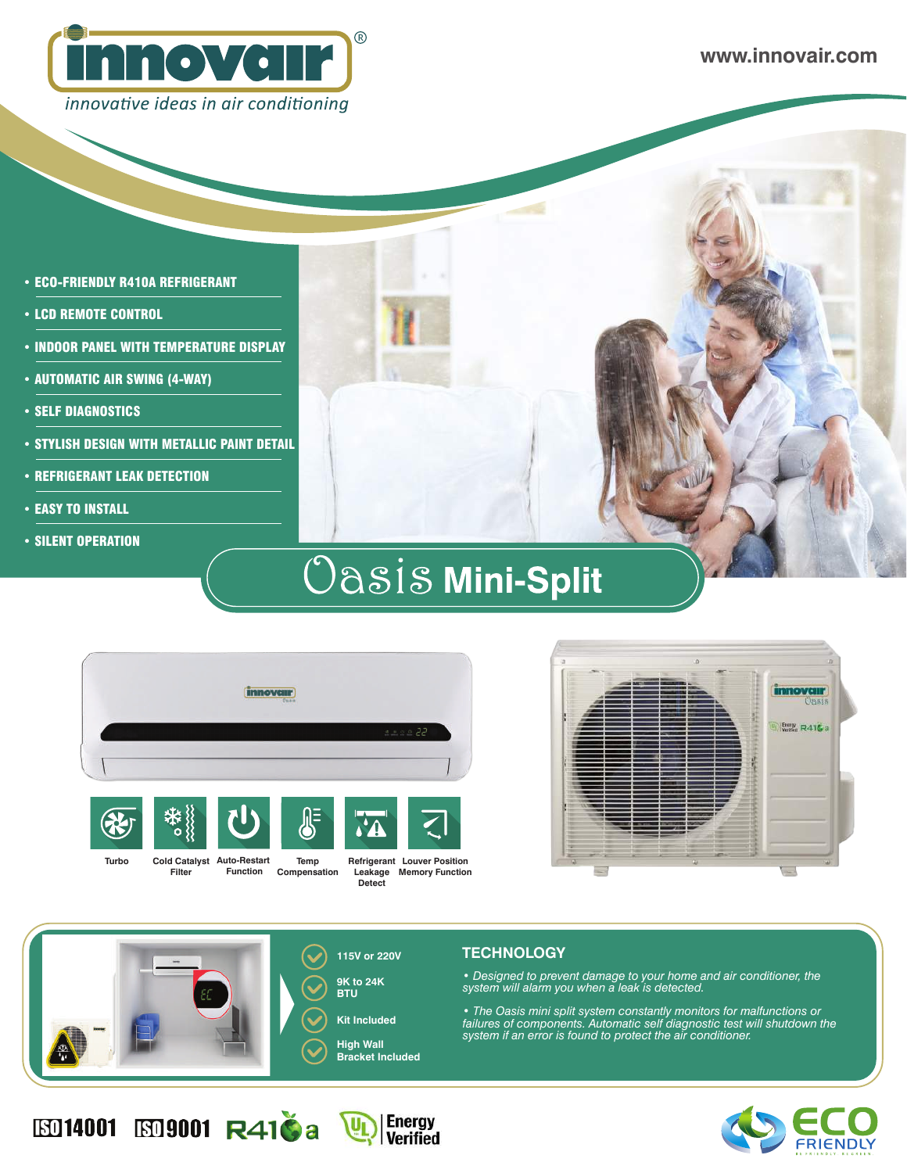

- ECO-FRIENDLY R410A REFRIGERANT
- LCD REMOTE CONTROL
- INDOOR PANEL WITH TEMPERATURE DISPLAY
- AUTOMATIC AIR SWING (4-WAY)
- SELF DIAGNOSTICS
- STYLISH DESIGN WITH METALLIC PAINT DETAIL

**Filter**

ED14001 ED9001 R410a U

- REFRIGERANT LEAK DETECTION
- **EASY TO INSTALL**
- SILENT OPERATION

# Oasis Mini-Split



**Function Compensation**

**Refrigerant Louver Position Leakage Memory FunctionDetect**





**Energy**<br>Verified